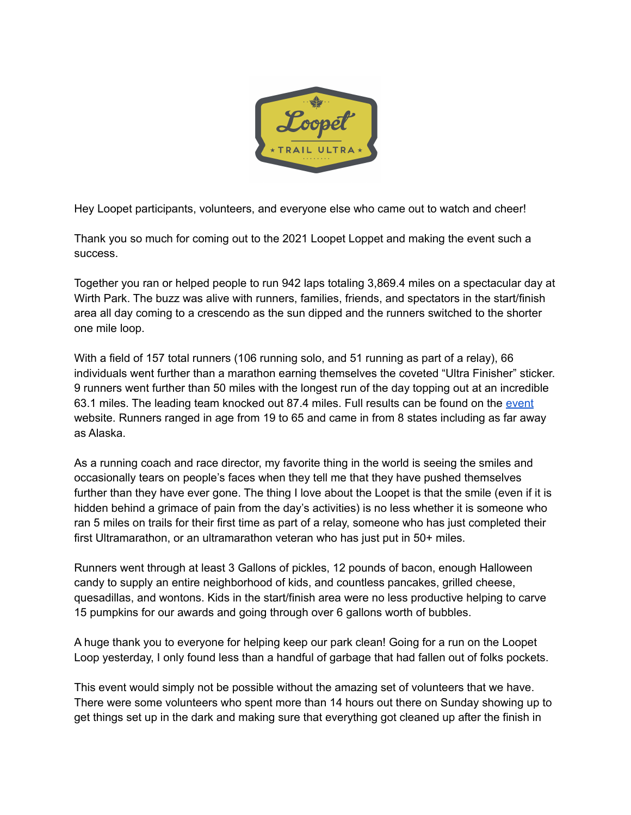

Hey Loopet participants, volunteers, and everyone else who came out to watch and cheer!

Thank you so much for coming out to the 2021 Loopet Loppet and making the event such a success.

Together you ran or helped people to run 942 laps totaling 3,869.4 miles on a spectacular day at Wirth Park. The buzz was alive with runners, families, friends, and spectators in the start/finish area all day coming to a crescendo as the sun dipped and the runners switched to the shorter one mile loop.

With a field of 157 total runners (106 running solo, and 51 running as part of a relay), 66 individuals went further than a marathon earning themselves the coveted "Ultra Finisher" sticker. 9 runners went further than 50 miles with the longest run of the day topping out at an incredible 63.1 miles. The leading team knocked out 87.4 miles. Full results can be found on the [event](https://www.loppet.org/events/loopet/) website. Runners ranged in age from 19 to 65 and came in from 8 states including as far away as Alaska.

As a running coach and race director, my favorite thing in the world is seeing the smiles and occasionally tears on people's faces when they tell me that they have pushed themselves further than they have ever gone. The thing I love about the Loopet is that the smile (even if it is hidden behind a grimace of pain from the day's activities) is no less whether it is someone who ran 5 miles on trails for their first time as part of a relay, someone who has just completed their first Ultramarathon, or an ultramarathon veteran who has just put in 50+ miles.

Runners went through at least 3 Gallons of pickles, 12 pounds of bacon, enough Halloween candy to supply an entire neighborhood of kids, and countless pancakes, grilled cheese, quesadillas, and wontons. Kids in the start/finish area were no less productive helping to carve 15 pumpkins for our awards and going through over 6 gallons worth of bubbles.

A huge thank you to everyone for helping keep our park clean! Going for a run on the Loopet Loop yesterday, I only found less than a handful of garbage that had fallen out of folks pockets.

This event would simply not be possible without the amazing set of volunteers that we have. There were some volunteers who spent more than 14 hours out there on Sunday showing up to get things set up in the dark and making sure that everything got cleaned up after the finish in